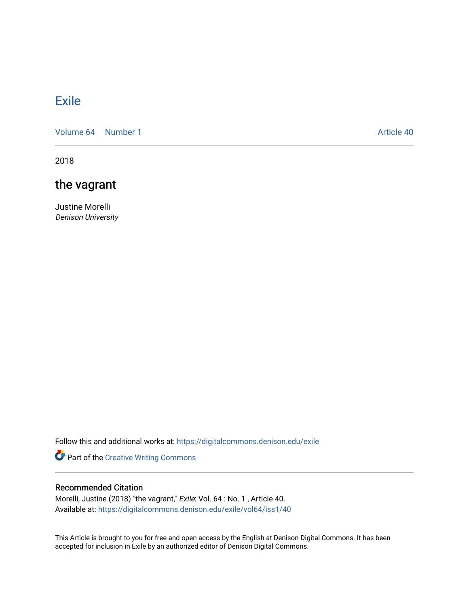## [Exile](https://digitalcommons.denison.edu/exile)

[Volume 64](https://digitalcommons.denison.edu/exile/vol64) [Number 1](https://digitalcommons.denison.edu/exile/vol64/iss1) Article 40

2018

## the vagrant

Justine Morelli Denison University

Follow this and additional works at: [https://digitalcommons.denison.edu/exile](https://digitalcommons.denison.edu/exile?utm_source=digitalcommons.denison.edu%2Fexile%2Fvol64%2Fiss1%2F40&utm_medium=PDF&utm_campaign=PDFCoverPages) 

Part of the [Creative Writing Commons](http://network.bepress.com/hgg/discipline/574?utm_source=digitalcommons.denison.edu%2Fexile%2Fvol64%2Fiss1%2F40&utm_medium=PDF&utm_campaign=PDFCoverPages) 

## Recommended Citation

Morelli, Justine (2018) "the vagrant," Exile: Vol. 64 : No. 1 , Article 40. Available at: [https://digitalcommons.denison.edu/exile/vol64/iss1/40](https://digitalcommons.denison.edu/exile/vol64/iss1/40?utm_source=digitalcommons.denison.edu%2Fexile%2Fvol64%2Fiss1%2F40&utm_medium=PDF&utm_campaign=PDFCoverPages)

This Article is brought to you for free and open access by the English at Denison Digital Commons. It has been accepted for inclusion in Exile by an authorized editor of Denison Digital Commons.